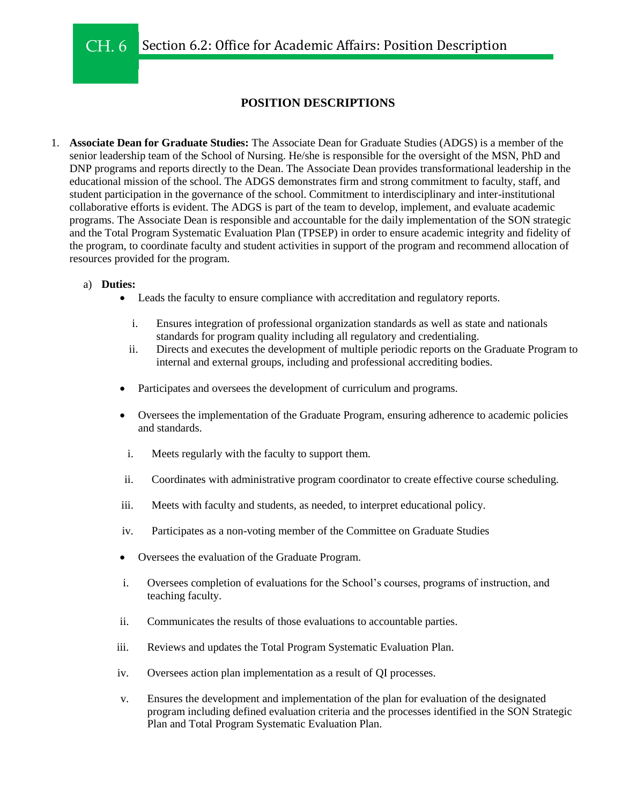# **POSITION DESCRIPTIONS**

1. **Associate Dean for Graduate Studies:** The Associate Dean for Graduate Studies (ADGS) is a member of the senior leadership team of the School of Nursing. He/she is responsible for the oversight of the MSN, PhD and DNP programs and reports directly to the Dean. The Associate Dean provides transformational leadership in the educational mission of the school. The ADGS demonstrates firm and strong commitment to faculty, staff, and student participation in the governance of the school. Commitment to interdisciplinary and inter-institutional collaborative efforts is evident. The ADGS is part of the team to develop, implement, and evaluate academic programs. The Associate Dean is responsible and accountable for the daily implementation of the SON strategic and the Total Program Systematic Evaluation Plan (TPSEP) in order to ensure academic integrity and fidelity of the program, to coordinate faculty and student activities in support of the program and recommend allocation of resources provided for the program.

## a) **Duties:**

- Leads the faculty to ensure compliance with accreditation and regulatory reports.
	- i. Ensures integration of professional organization standards as well as state and nationals standards for program quality including all regulatory and credentialing.
	- ii. Directs and executes the development of multiple periodic reports on the Graduate Program to internal and external groups, including and professional accrediting bodies.
- Participates and oversees the development of curriculum and programs.
- Oversees the implementation of the Graduate Program, ensuring adherence to academic policies and standards.
- i. Meets regularly with the faculty to support them.
- ii. Coordinates with administrative program coordinator to create effective course scheduling.
- iii. Meets with faculty and students, as needed, to interpret educational policy.
- iv. Participates as a non-voting member of the Committee on Graduate Studies
- Oversees the evaluation of the Graduate Program.
- i. Oversees completion of evaluations for the School's courses, programs of instruction, and teaching faculty.
- ii. Communicates the results of those evaluations to accountable parties.
- iii. Reviews and updates the Total Program Systematic Evaluation Plan.
- iv. Oversees action plan implementation as a result of QI processes.
- v. Ensures the development and implementation of the plan for evaluation of the designated program including defined evaluation criteria and the processes identified in the SON Strategic Plan and Total Program Systematic Evaluation Plan.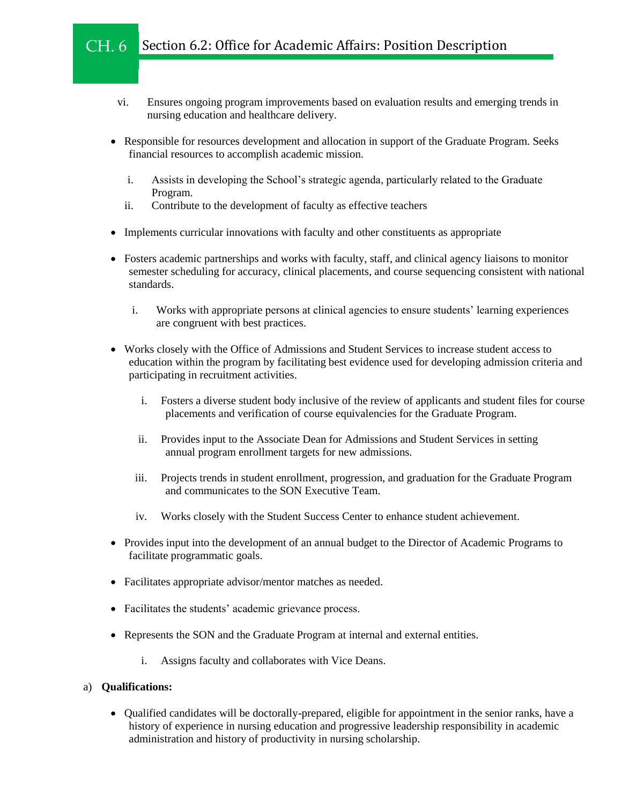#### Section 6.2: Office for Academic Affairs: Position Description CH. 6

- vi. Ensures ongoing program improvements based on evaluation results and emerging trends in nursing education and healthcare delivery.
- Responsible for resources development and allocation in support of the Graduate Program. Seeks financial resources to accomplish academic mission.
	- i. Assists in developing the School's strategic agenda, particularly related to the Graduate Program.
	- ii. Contribute to the development of faculty as effective teachers
- Implements curricular innovations with faculty and other constituents as appropriate
- Fosters academic partnerships and works with faculty, staff, and clinical agency liaisons to monitor semester scheduling for accuracy, clinical placements, and course sequencing consistent with national standards.
	- i. Works with appropriate persons at clinical agencies to ensure students' learning experiences are congruent with best practices.
- Works closely with the Office of Admissions and Student Services to increase student access to education within the program by facilitating best evidence used for developing admission criteria and participating in recruitment activities.
	- i. Fosters a diverse student body inclusive of the review of applicants and student files for course placements and verification of course equivalencies for the Graduate Program.
	- ii. Provides input to the Associate Dean for Admissions and Student Services in setting annual program enrollment targets for new admissions.
	- iii. Projects trends in student enrollment, progression, and graduation for the Graduate Program and communicates to the SON Executive Team.
	- iv. Works closely with the Student Success Center to enhance student achievement.
- Provides input into the development of an annual budget to the Director of Academic Programs to facilitate programmatic goals.
- Facilitates appropriate advisor/mentor matches as needed.
- Facilitates the students' academic grievance process.
- Represents the SON and the Graduate Program at internal and external entities.
	- i. Assigns faculty and collaborates with Vice Deans.

## a) **Qualifications:**

• Oualified candidates will be doctorally-prepared, eligible for appointment in the senior ranks, have a history of experience in nursing education and progressive leadership responsibility in academic administration and history of productivity in nursing scholarship.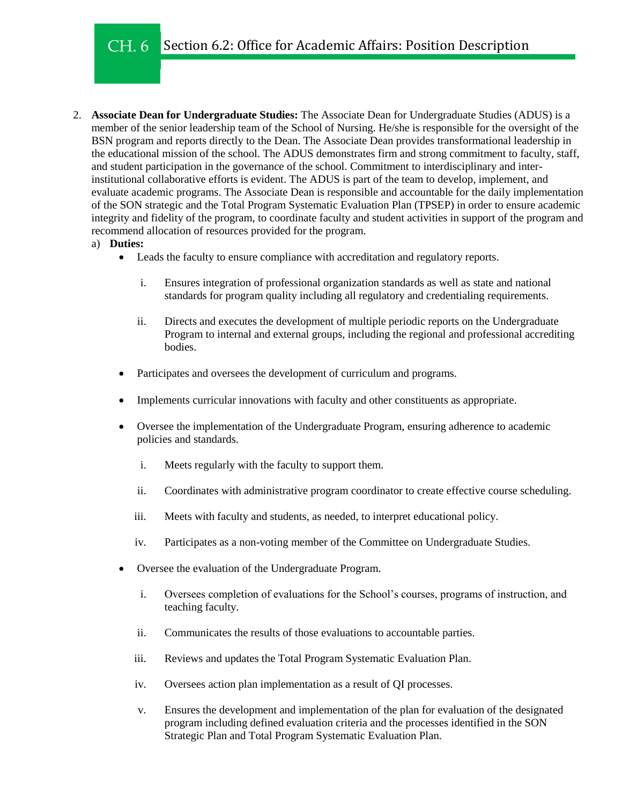- 2. **Associate Dean for Undergraduate Studies:** The Associate Dean for Undergraduate Studies (ADUS) is a member of the senior leadership team of the School of Nursing. He/she is responsible for the oversight of the BSN program and reports directly to the Dean. The Associate Dean provides transformational leadership in the educational mission of the school. The ADUS demonstrates firm and strong commitment to faculty, staff, and student participation in the governance of the school. Commitment to interdisciplinary and interinstitutional collaborative efforts is evident. The ADUS is part of the team to develop, implement, and evaluate academic programs. The Associate Dean is responsible and accountable for the daily implementation of the SON strategic and the Total Program Systematic Evaluation Plan (TPSEP) in order to ensure academic integrity and fidelity of the program, to coordinate faculty and student activities in support of the program and recommend allocation of resources provided for the program.
	- a) **Duties:**
		- Leads the faculty to ensure compliance with accreditation and regulatory reports.
			- i. Ensures integration of professional organization standards as well as state and national standards for program quality including all regulatory and credentialing requirements.
			- ii. Directs and executes the development of multiple periodic reports on the Undergraduate Program to internal and external groups, including the regional and professional accrediting bodies.
		- Participates and oversees the development of curriculum and programs.
		- Implements curricular innovations with faculty and other constituents as appropriate.
		- Oversee the implementation of the Undergraduate Program, ensuring adherence to academic policies and standards.
			- i. Meets regularly with the faculty to support them.
			- ii. Coordinates with administrative program coordinator to create effective course scheduling.
			- iii. Meets with faculty and students, as needed, to interpret educational policy.
			- iv. Participates as a non-voting member of the Committee on Undergraduate Studies.
		- Oversee the evaluation of the Undergraduate Program.
			- i. Oversees completion of evaluations for the School's courses, programs of instruction, and teaching faculty.
			- ii. Communicates the results of those evaluations to accountable parties.
			- iii. Reviews and updates the Total Program Systematic Evaluation Plan.
			- iv. Oversees action plan implementation as a result of QI processes.
			- v. Ensures the development and implementation of the plan for evaluation of the designated program including defined evaluation criteria and the processes identified in the SON Strategic Plan and Total Program Systematic Evaluation Plan.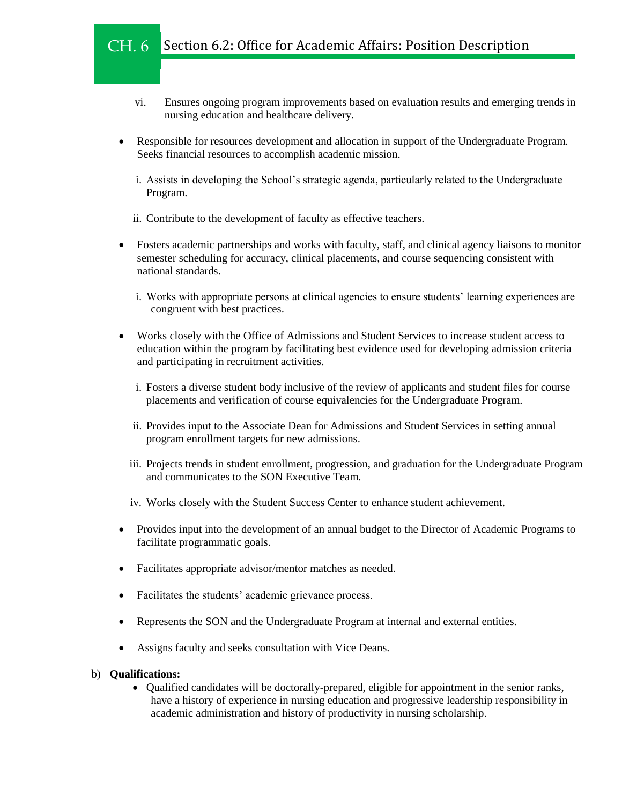- vi. Ensures ongoing program improvements based on evaluation results and emerging trends in nursing education and healthcare delivery.
- Responsible for resources development and allocation in support of the Undergraduate Program. Seeks financial resources to accomplish academic mission.
	- i. Assists in developing the School's strategic agenda, particularly related to the Undergraduate Program.
	- ii. Contribute to the development of faculty as effective teachers.
- Fosters academic partnerships and works with faculty, staff, and clinical agency liaisons to monitor semester scheduling for accuracy, clinical placements, and course sequencing consistent with national standards.
	- i. Works with appropriate persons at clinical agencies to ensure students' learning experiences are congruent with best practices.
- Works closely with the Office of Admissions and Student Services to increase student access to education within the program by facilitating best evidence used for developing admission criteria and participating in recruitment activities.
	- i. Fosters a diverse student body inclusive of the review of applicants and student files for course placements and verification of course equivalencies for the Undergraduate Program.
	- ii. Provides input to the Associate Dean for Admissions and Student Services in setting annual program enrollment targets for new admissions.
	- iii. Projects trends in student enrollment, progression, and graduation for the Undergraduate Program and communicates to the SON Executive Team.
	- iv. Works closely with the Student Success Center to enhance student achievement.
- Provides input into the development of an annual budget to the Director of Academic Programs to facilitate programmatic goals.
- Facilitates appropriate advisor/mentor matches as needed.
- Facilitates the students' academic grievance process.
- Represents the SON and the Undergraduate Program at internal and external entities.
- Assigns faculty and seeks consultation with Vice Deans.

#### b) **Qualifications:**

 Qualified candidates will be doctorally-prepared, eligible for appointment in the senior ranks, have a history of experience in nursing education and progressive leadership responsibility in academic administration and history of productivity in nursing scholarship.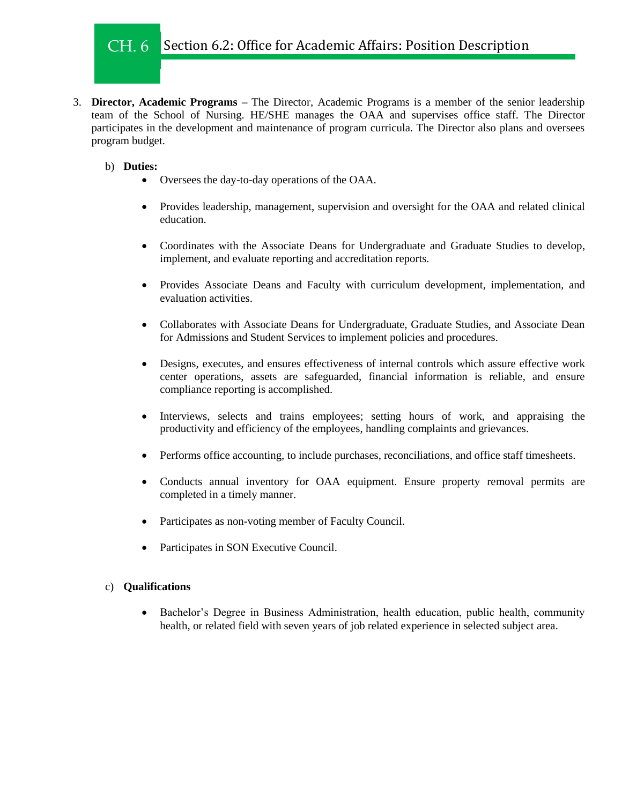#### Section 6.2: Office for Academic Affairs: Position Description CH. 6

3. **Director, Academic Programs –** The Director, Academic Programs is a member of the senior leadership team of the School of Nursing. HE/SHE manages the OAA and supervises office staff. The Director participates in the development and maintenance of program curricula. The Director also plans and oversees program budget.

## b) **Duties:**

- Oversees the day-to-day operations of the OAA.
- Provides leadership, management, supervision and oversight for the OAA and related clinical education.
- Coordinates with the Associate Deans for Undergraduate and Graduate Studies to develop, implement, and evaluate reporting and accreditation reports.
- Provides Associate Deans and Faculty with curriculum development, implementation, and evaluation activities.
- Collaborates with Associate Deans for Undergraduate, Graduate Studies, and Associate Dean for Admissions and Student Services to implement policies and procedures.
- Designs, executes, and ensures effectiveness of internal controls which assure effective work center operations, assets are safeguarded, financial information is reliable, and ensure compliance reporting is accomplished.
- Interviews, selects and trains employees; setting hours of work, and appraising the productivity and efficiency of the employees, handling complaints and grievances.
- Performs office accounting, to include purchases, reconciliations, and office staff timesheets.
- Conducts annual inventory for OAA equipment. Ensure property removal permits are completed in a timely manner.
- Participates as non-voting member of Faculty Council.
- Participates in SON Executive Council.

## c) **Qualifications**

• Bachelor's Degree in Business Administration, health education, public health, community health, or related field with seven years of job related experience in selected subject area.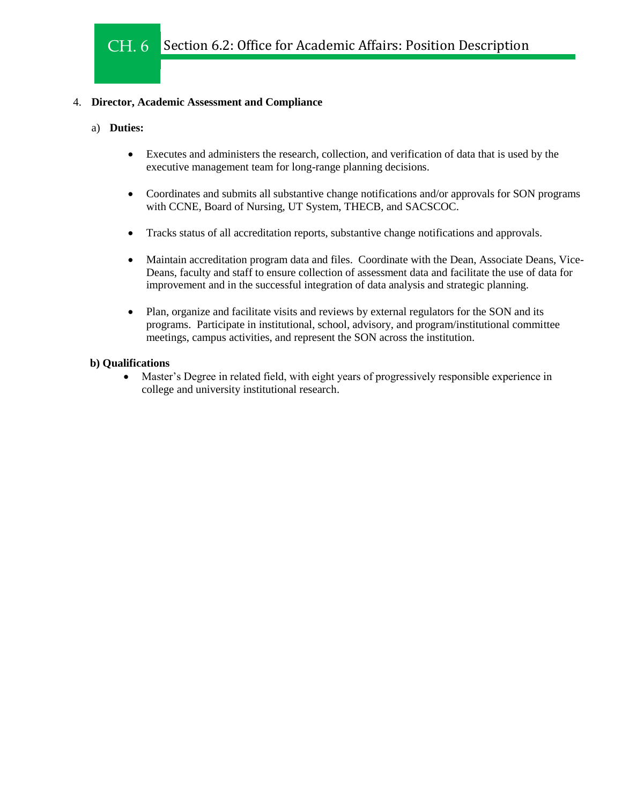## 4. **Director, Academic Assessment and Compliance**

## a) **Duties:**

- Executes and administers the research, collection, and verification of data that is used by the executive management team for long-range planning decisions.
- Coordinates and submits all substantive change notifications and/or approvals for SON programs with CCNE, Board of Nursing, UT System, THECB, and SACSCOC.
- Tracks status of all accreditation reports, substantive change notifications and approvals.
- Maintain accreditation program data and files. Coordinate with the Dean, Associate Deans, Vice-Deans, faculty and staff to ensure collection of assessment data and facilitate the use of data for improvement and in the successful integration of data analysis and strategic planning.
- Plan, organize and facilitate visits and reviews by external regulators for the SON and its programs. Participate in institutional, school, advisory, and program/institutional committee meetings, campus activities, and represent the SON across the institution.

## **b) Qualifications**

 Master's Degree in related field, with eight years of progressively responsible experience in college and university institutional research.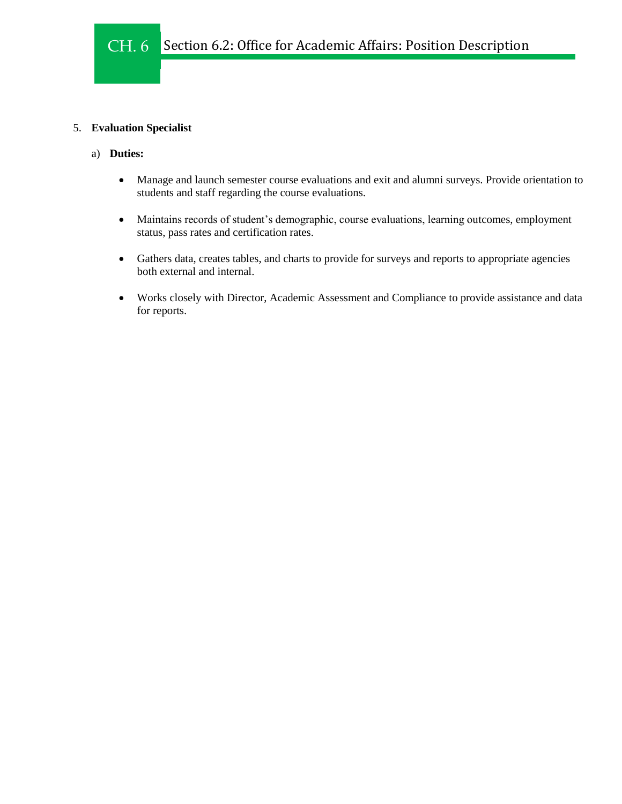## 5. **Evaluation Specialist**

- a) **Duties:**
	- Manage and launch semester course evaluations and exit and alumni surveys. Provide orientation to students and staff regarding the course evaluations.
	- Maintains records of student's demographic, course evaluations, learning outcomes, employment status, pass rates and certification rates.
	- Gathers data, creates tables, and charts to provide for surveys and reports to appropriate agencies both external and internal.
	- Works closely with Director, Academic Assessment and Compliance to provide assistance and data for reports.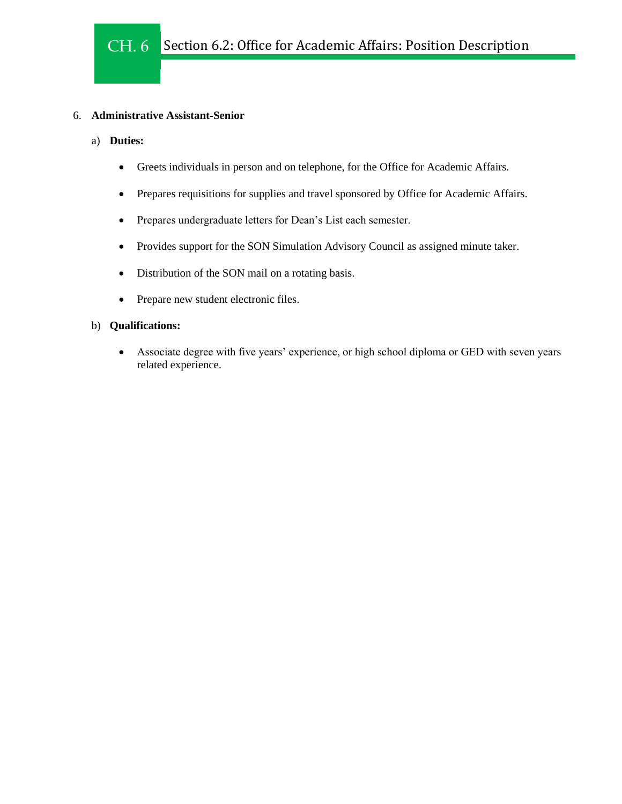## 6. **Administrative Assistant-Senior**

- a) **Duties:**
	- Greets individuals in person and on telephone, for the Office for Academic Affairs.
	- Prepares requisitions for supplies and travel sponsored by Office for Academic Affairs.
	- Prepares undergraduate letters for Dean's List each semester.
	- Provides support for the SON Simulation Advisory Council as assigned minute taker.
	- Distribution of the SON mail on a rotating basis.
	- Prepare new student electronic files.

## b) **Qualifications:**

 Associate degree with five years' experience, or high school diploma or GED with seven years related experience.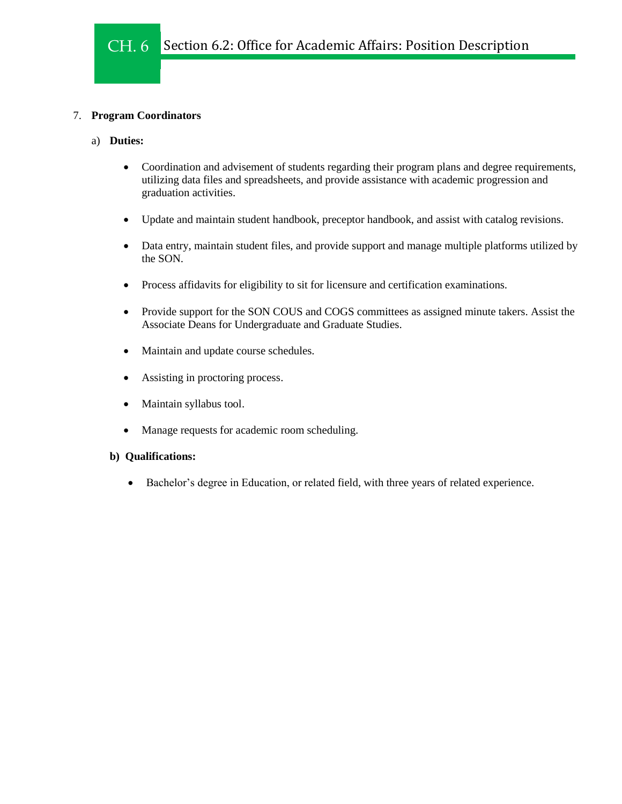## 7. **Program Coordinators**

## a) **Duties:**

- Coordination and advisement of students regarding their program plans and degree requirements, utilizing data files and spreadsheets, and provide assistance with academic progression and graduation activities.
- Update and maintain student handbook, preceptor handbook, and assist with catalog revisions.
- Data entry, maintain student files, and provide support and manage multiple platforms utilized by the SON.
- Process affidavits for eligibility to sit for licensure and certification examinations.
- Provide support for the SON COUS and COGS committees as assigned minute takers. Assist the Associate Deans for Undergraduate and Graduate Studies.
- Maintain and update course schedules.
- Assisting in proctoring process.
- Maintain syllabus tool.
- Manage requests for academic room scheduling.

## **b) Qualifications:**

Bachelor's degree in Education, or related field, with three years of related experience.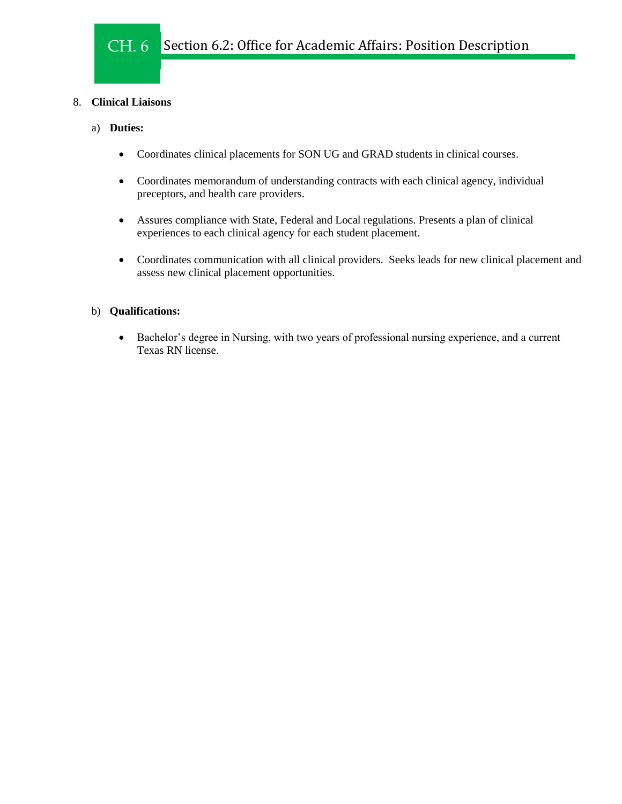## 8. **Clinical Liaisons**

## a) **Duties:**

- Coordinates clinical placements for SON UG and GRAD students in clinical courses.
- Coordinates memorandum of understanding contracts with each clinical agency, individual preceptors, and health care providers.
- Assures compliance with State, Federal and Local regulations. Presents a plan of clinical experiences to each clinical agency for each student placement.
- Coordinates communication with all clinical providers. Seeks leads for new clinical placement and assess new clinical placement opportunities.

## b) **Qualifications:**

 Bachelor's degree in Nursing, with two years of professional nursing experience, and a current Texas RN license.